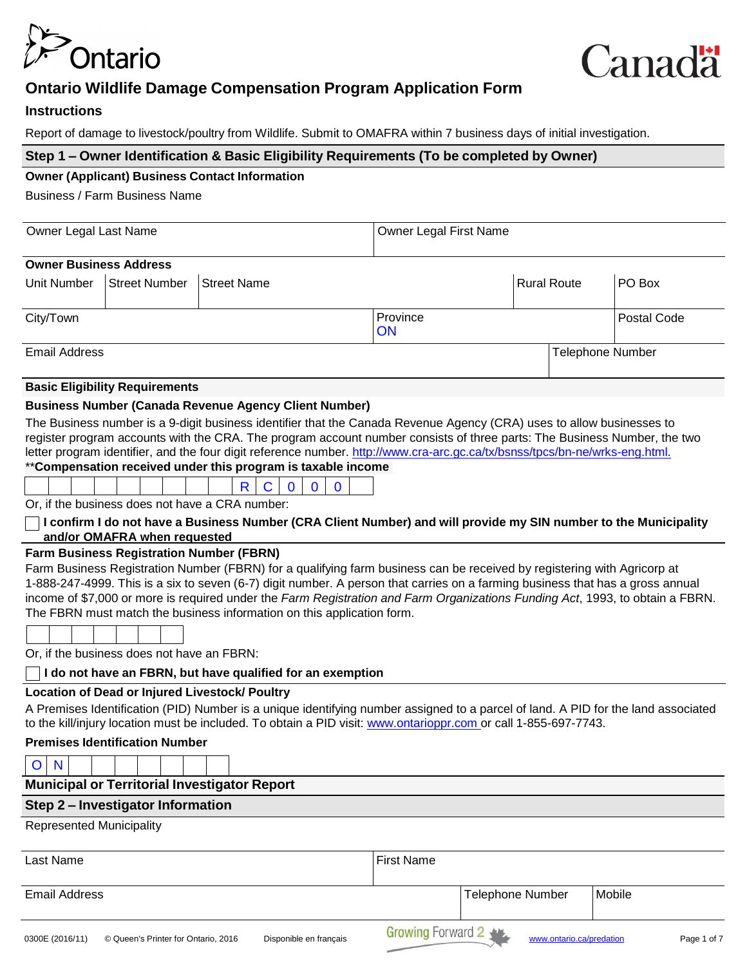

# **Ontario Wildlife Damage Compensation Program Application Form**

# **Instructions**

Report of damage to livestock/poultry from Wildlife. Submit to OMAFRA within 7 business days of initial investigation.

# **Step 1 – Owner Identification & Basic Eligibility Requirements (To be completed by Owner)**

#### **Owner (Applicant) Business Contact Information**

Business / Farm Business Name

| Owner Legal Last Name         |                                |                    |                | Owner Legal First Name |                  |  |  |  |
|-------------------------------|--------------------------------|--------------------|----------------|------------------------|------------------|--|--|--|
| <b>Owner Business Address</b> |                                |                    |                |                        |                  |  |  |  |
|                               | Unit Number Street Number      | <b>Street Name</b> |                | <b>Rural Route</b>     | PO Box           |  |  |  |
| City/Town                     |                                |                    | Province<br>ON |                        | Postal Code      |  |  |  |
| Email Address                 |                                |                    |                |                        | Telephone Number |  |  |  |
|                               | Deala Filmilaithe Damslannachd |                    |                |                        |                  |  |  |  |

# **Basic Eligibility Requirements**

# **Business Number (Canada Revenue Agency Client Number)**

The Business number is a 9-digit business identifier that the Canada Revenue Agency (CRA) uses to allow businesses to register program accounts with the CRA. The program account number consists of three parts: The Business Number, the two letter program identifier, and the four digit reference number. [http://www.cra-arc.gc.ca/tx/bsnss/tpcs/bn-ne/wrks-eng.html.](http://www.cra-arc.gc.ca/tx/bsnss/tpcs/bn-ne/wrks-eng.html) \*\***Compensation received under this program is taxable income**

Or, if the business does not have a CRA number:

# $\Box$  I confirm I do not have a Business Number (CRA Client Number) and will provide my SIN number to the Municipality **and/or OMAFRA when requested**

# **Farm Business Registration Number (FBRN)**

Farm Business Registration Number (FBRN) for a qualifying farm business can be received by registering with Agricorp at 1-888-247-4999. This is a six to seven (6-7) digit number. A person that carries on a farming business that has a gross annual income of \$7,000 or more is required under the *Farm Registration and Farm Organizations Funding Act*, 1993, to obtain a FBRN. The FBRN must match the business information on this application form.

| and the control of the control of | _______ | the contract of the contract of the contract of the contract of the contract of |  |  |
|-----------------------------------|---------|---------------------------------------------------------------------------------|--|--|
|                                   |         |                                                                                 |  |  |
|                                   |         |                                                                                 |  |  |
|                                   |         |                                                                                 |  |  |
|                                   |         |                                                                                 |  |  |

Or, if the business does not have an FBRN:

#### **I do not have an FBRN, but have qualified for an exemption**

#### **Location of Dead or Injured Livestock/ Poultry**

A Premises Identification (PID) Number is a unique identifying number assigned to a parcel of land. A PID for the land associated to the kill/injury location must be included. To obtain a PID visit: [www.ontarioppr.com o](http://www.ontarioppr.com/)r call 1-855-697-7743.

# **Premises Identification Number**

| <b>Municipal or Territorial Investigator Report</b> |                   |  |  |  |  |  |  |
|-----------------------------------------------------|-------------------|--|--|--|--|--|--|
| Step 2 - Investigator Information                   |                   |  |  |  |  |  |  |
| <b>Represented Municipality</b>                     |                   |  |  |  |  |  |  |
| Last Name                                           | <b>First Name</b> |  |  |  |  |  |  |

Email Address **Telephone Number** Mobile **Telephone Number** Mobile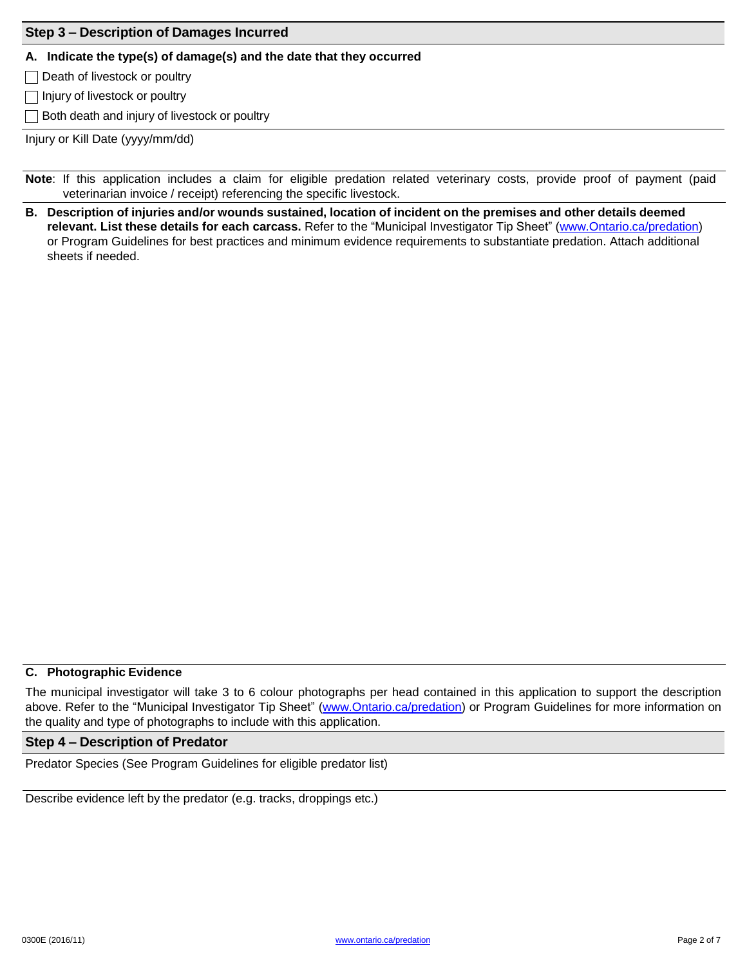# **Step 3 – Description of Damages Incurred**

#### **A. Indicate the type(s) of damage(s) and the date that they occurred**

 $\Box$  Death of livestock or poultry

 $\Box$  Injury of livestock or poultry

 $\Box$  Both death and injury of livestock or poultry

Injury or Kill Date (yyyy/mm/dd)

**Note**: If this application includes a claim for eligible predation related veterinary costs, provide proof of payment (paid veterinarian invoice / receipt) referencing the specific livestock.

B. Description of injuries and/or wounds sustained, location of incident on the premises and other details deemed **relevant. List these details for each carcass.** Refer to the "Municipal Investigator Tip Sheet" [\(www.Ontario.ca/predation\)](http://www.ontario.ca/predation)) or Program Guidelines for best practices and minimum evidence requirements to substantiate predation. Attach additional sheets if needed.

# **C. Photographic Evidence**

The municipal investigator will take 3 to 6 colour photographs per head contained in this application to support the description above. Refer to the "Municipal Investigator Tip Sheet" [\(www.Ontario.ca/predation\)](http://www.ontario.ca/predation)) or Program Guidelines for more information on the quality and type of photographs to include with this application.

#### **Step 4 – Description of Predator**

Predator Species (See Program Guidelines for eligible predator list)

Describe evidence left by the predator (e.g. tracks, droppings etc.)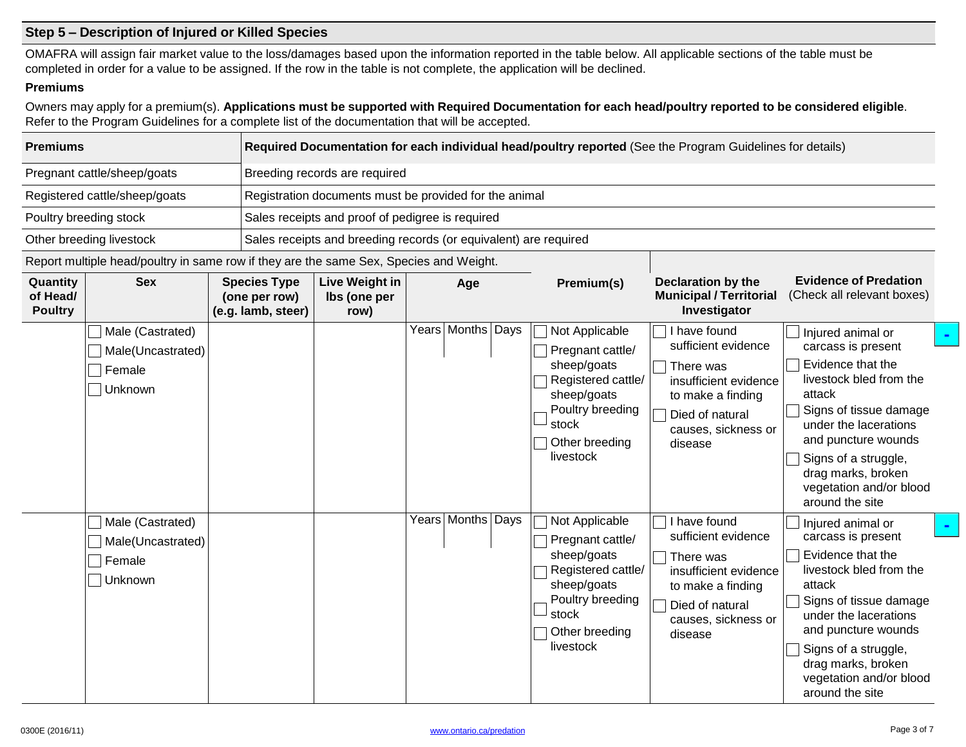# **Step 5 – Description of Injured or Killed Species**

OMAFRA will assign fair market value to the loss/damages based upon the information reported in the table below. All applicable sections of the table must be completed in order for a value to be assigned. If the row in the table is not complete, the application will be declined.

#### **Premiums**

Owners may apply for a premium(s). Applications must be supported with Required Documentation for each head/poultry reported to be considered eligible. Refer to the Program Guidelines for a complete list of the documentation that will be accepted.

| <b>Premiums</b>                                      |                                                                                        | Required Documentation for each individual head/poultry reported (See the Program Guidelines for details) |                                                            |                                                                  |  |                       |                                                                                                                                                    |                                                                                                                                                     |                                                                                                                                                                                                                                                                         |  |  |  |
|------------------------------------------------------|----------------------------------------------------------------------------------------|-----------------------------------------------------------------------------------------------------------|------------------------------------------------------------|------------------------------------------------------------------|--|-----------------------|----------------------------------------------------------------------------------------------------------------------------------------------------|-----------------------------------------------------------------------------------------------------------------------------------------------------|-------------------------------------------------------------------------------------------------------------------------------------------------------------------------------------------------------------------------------------------------------------------------|--|--|--|
| Pregnant cattle/sheep/goats                          |                                                                                        |                                                                                                           | Breeding records are required                              |                                                                  |  |                       |                                                                                                                                                    |                                                                                                                                                     |                                                                                                                                                                                                                                                                         |  |  |  |
| Registered cattle/sheep/goats                        |                                                                                        |                                                                                                           | Registration documents must be provided for the animal     |                                                                  |  |                       |                                                                                                                                                    |                                                                                                                                                     |                                                                                                                                                                                                                                                                         |  |  |  |
|                                                      | Poultry breeding stock                                                                 |                                                                                                           | Sales receipts and proof of pedigree is required           |                                                                  |  |                       |                                                                                                                                                    |                                                                                                                                                     |                                                                                                                                                                                                                                                                         |  |  |  |
|                                                      | Other breeding livestock                                                               |                                                                                                           |                                                            | Sales receipts and breeding records (or equivalent) are required |  |                       |                                                                                                                                                    |                                                                                                                                                     |                                                                                                                                                                                                                                                                         |  |  |  |
|                                                      | Report multiple head/poultry in same row if they are the same Sex, Species and Weight. |                                                                                                           |                                                            |                                                                  |  |                       |                                                                                                                                                    |                                                                                                                                                     |                                                                                                                                                                                                                                                                         |  |  |  |
| <b>Sex</b><br>Quantity<br>of Head/<br><b>Poultry</b> |                                                                                        |                                                                                                           | <b>Species Type</b><br>(one per row)<br>(e.g. lamb, steer) | <b>Live Weight in</b><br>Ibs (one per<br>row)                    |  | Age                   | Premium(s)                                                                                                                                         | <b>Declaration by the</b><br><b>Municipal / Territorial</b><br>Investigator                                                                         | <b>Evidence of Predation</b><br>(Check all relevant boxes)                                                                                                                                                                                                              |  |  |  |
|                                                      | Male (Castrated)<br>Male(Uncastrated)<br>Female<br>Unknown                             |                                                                                                           |                                                            |                                                                  |  | Years   Months   Days | Not Applicable<br>Pregnant cattle/<br>sheep/goats<br>Registered cattle/<br>sheep/goats<br>Poultry breeding<br>stock<br>Other breeding<br>livestock | I have found<br>sufficient evidence<br>There was<br>insufficient evidence<br>to make a finding<br>Died of natural<br>causes, sickness or<br>disease | Injured animal or<br>carcass is present<br>Evidence that the<br>livestock bled from the<br>attack<br>Signs of tissue damage<br>under the lacerations<br>and puncture wounds<br>Signs of a struggle,<br>drag marks, broken<br>vegetation and/or blood<br>around the site |  |  |  |
|                                                      | Male (Castrated)<br>Male(Uncastrated)<br>Female<br>Unknown                             |                                                                                                           |                                                            |                                                                  |  | Years   Months   Days | Not Applicable<br>Pregnant cattle/<br>sheep/goats<br>Registered cattle/<br>sheep/goats<br>Poultry breeding<br>stock<br>Other breeding<br>livestock | I have found<br>sufficient evidence<br>There was<br>insufficient evidence<br>to make a finding<br>Died of natural<br>causes, sickness or<br>disease | Injured animal or<br>carcass is present<br>Evidence that the<br>livestock bled from the<br>attack<br>Signs of tissue damage<br>under the lacerations<br>and puncture wounds<br>Signs of a struggle,<br>drag marks, broken<br>vegetation and/or blood<br>around the site |  |  |  |

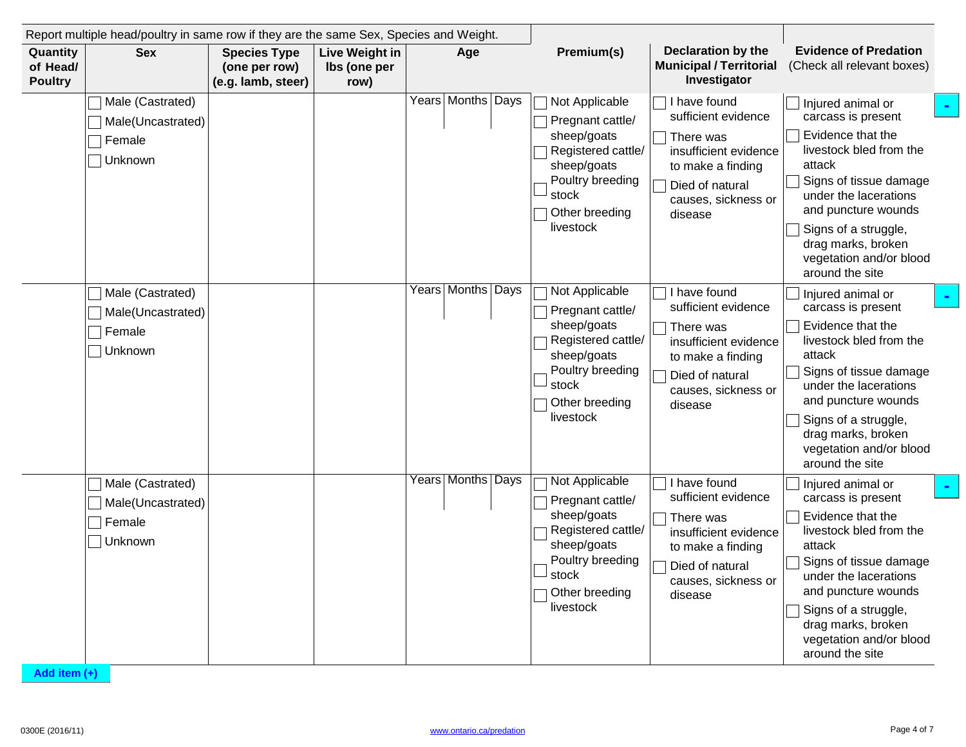| Quantity<br>of Head/ | <b>Sex</b>                                                 | <b>Species Type</b><br>(one per row) | Live Weight in<br>lbs (one per | Age                   | Premium(s)                                                                                                                                                     | <b>Declaration by the</b><br><b>Municipal / Territorial</b>                                                                                         | <b>Evidence of Predation</b><br>(Check all relevant boxes)                                                                                                                                                                                                              |
|----------------------|------------------------------------------------------------|--------------------------------------|--------------------------------|-----------------------|----------------------------------------------------------------------------------------------------------------------------------------------------------------|-----------------------------------------------------------------------------------------------------------------------------------------------------|-------------------------------------------------------------------------------------------------------------------------------------------------------------------------------------------------------------------------------------------------------------------------|
| <b>Poultry</b>       |                                                            | (e.g. lamb, steer)                   | row)                           |                       |                                                                                                                                                                | Investigator                                                                                                                                        |                                                                                                                                                                                                                                                                         |
|                      | Male (Castrated)<br>Male(Uncastrated)<br>Female<br>Unknown |                                      |                                | Years   Months   Days | Not Applicable<br>Pregnant cattle/<br>sheep/goats<br>Registered cattle/<br>sheep/goats<br>Poultry breeding<br>stock<br>Other breeding<br>livestock             | I have found<br>sufficient evidence<br>There was<br>insufficient evidence<br>to make a finding<br>Died of natural<br>causes, sickness or<br>disease | Injured animal or<br>carcass is present<br>Evidence that the<br>livestock bled from the<br>attack<br>Signs of tissue damage<br>under the lacerations<br>and puncture wounds<br>Signs of a struggle,<br>drag marks, broken<br>vegetation and/or blood<br>around the site |
|                      | Male (Castrated)<br>Male(Uncastrated)<br>Female<br>Unknown |                                      |                                | Years Months Days     | Not Applicable<br>Pregnant cattle/<br>sheep/goats<br>Registered cattle/<br>sheep/goats<br>Poultry breeding<br>stock<br>Other breeding<br>livestock             | I have found<br>sufficient evidence<br>There was<br>insufficient evidence<br>to make a finding<br>Died of natural<br>causes, sickness or<br>disease | Injured animal or<br>carcass is present<br>Evidence that the<br>livestock bled from the<br>attack<br>Signs of tissue damage<br>under the lacerations<br>and puncture wounds<br>Signs of a struggle,<br>drag marks, broken<br>vegetation and/or blood<br>around the site |
|                      | Male (Castrated)<br>Male(Uncastrated)<br>Female<br>Unknown |                                      |                                | Years   Months   Days | Not Applicable<br>Pregnant cattle/<br>sheep/goats<br>Registered cattle/<br>sheep/goats<br>Poultry breeding<br>$\lrcorner$ stock<br>Other breeding<br>livestock | I have found<br>sufficient evidence<br>There was<br>insufficient evidence<br>to make a finding<br>Died of natural<br>causes, sickness or<br>disease | Injured animal or<br>carcass is present<br>Evidence that the<br>livestock bled from the<br>attack<br>Signs of tissue damage<br>under the lacerations<br>and puncture wounds<br>Signs of a struggle,<br>drag marks, broken<br>vegetation and/or blood<br>around the site |

**Add item (+)**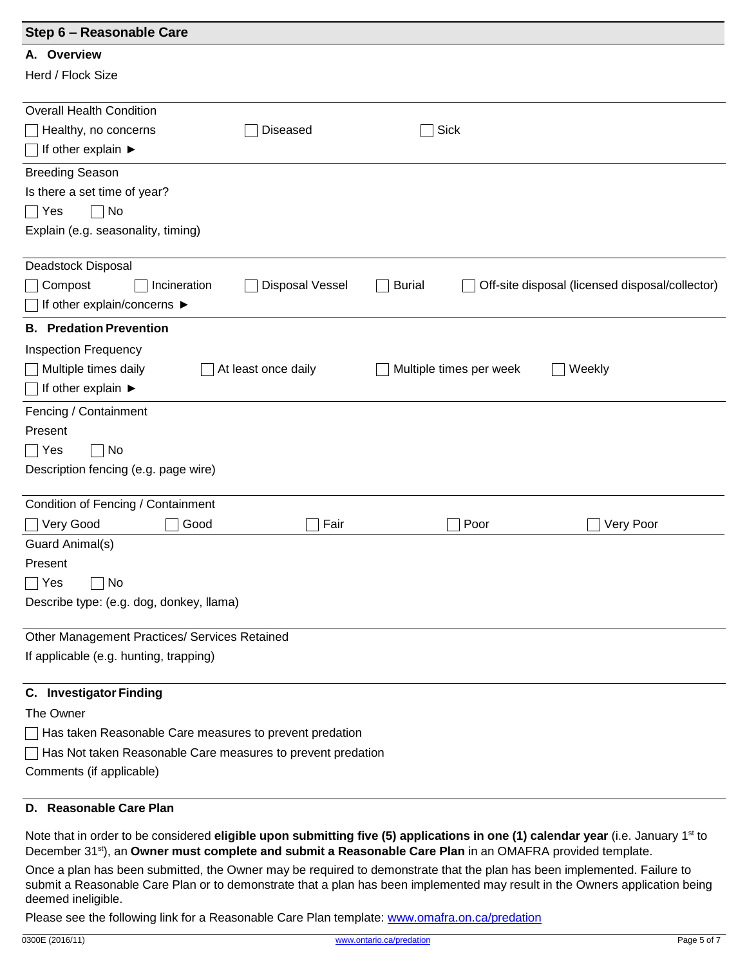| Step 6 - Reasonable Care                                                      |                                                 |
|-------------------------------------------------------------------------------|-------------------------------------------------|
| A. Overview                                                                   |                                                 |
| Herd / Flock Size                                                             |                                                 |
| <b>Overall Health Condition</b>                                               |                                                 |
|                                                                               |                                                 |
| Healthy, no concerns<br><b>Diseased</b><br>If other explain ▶                 | Sick                                            |
|                                                                               |                                                 |
| <b>Breeding Season</b>                                                        |                                                 |
| Is there a set time of year?                                                  |                                                 |
| No<br>∣ Yes                                                                   |                                                 |
| Explain (e.g. seasonality, timing)                                            |                                                 |
| Deadstock Disposal                                                            |                                                 |
| Compost<br><b>Disposal Vessel</b><br><b>Burial</b><br>Incineration            | Off-site disposal (licensed disposal/collector) |
| If other explain/concerns ▶                                                   |                                                 |
| <b>B.</b> Predation Prevention                                                |                                                 |
| <b>Inspection Frequency</b>                                                   |                                                 |
| Multiple times daily<br>At least once daily                                   | Multiple times per week<br>Weekly               |
| If other explain ▶                                                            |                                                 |
| Fencing / Containment                                                         |                                                 |
| Present                                                                       |                                                 |
| No<br>$\bigcap$ Yes                                                           |                                                 |
| Description fencing (e.g. page wire)                                          |                                                 |
|                                                                               |                                                 |
| Condition of Fencing / Containment                                            |                                                 |
| Very Good<br>Good<br>Fair                                                     | Very Poor<br>Poor                               |
| Guard Animal(s)                                                               |                                                 |
| Present                                                                       |                                                 |
| Yes<br>No<br>$\vert \ \ \vert$                                                |                                                 |
| Describe type: (e.g. dog, donkey, llama)                                      |                                                 |
| Other Management Practices/ Services Retained                                 |                                                 |
| If applicable (e.g. hunting, trapping)                                        |                                                 |
| <b>C.</b> Investigator Finding                                                |                                                 |
| The Owner                                                                     |                                                 |
| Has taken Reasonable Care measures to prevent predation                       |                                                 |
| Has Not taken Reasonable Care measures to prevent predation<br>$\blacksquare$ |                                                 |
| Comments (if applicable)                                                      |                                                 |
|                                                                               |                                                 |

# **D. Reasonable Care Plan**

Note that in order to be considered **eligible upon submitting five (5) applications in one (1) calendar year** (i.e. January 1 st to December 31st), an **Owner must complete and submit a Reasonable Care Plan** in an OMAFRA provided template.

Once a plan has been submitted, the Owner may be required to demonstrate that the plan has been implemented. Failure to submit a Reasonable Care Plan or to demonstrate that a plan has been implemented may result in the Owners application being deemed ineligible.

Please see the following link for a Reasonable Care Plan template: [www.omafra.on.ca/predation](http://www.omafra.on.ca/predation)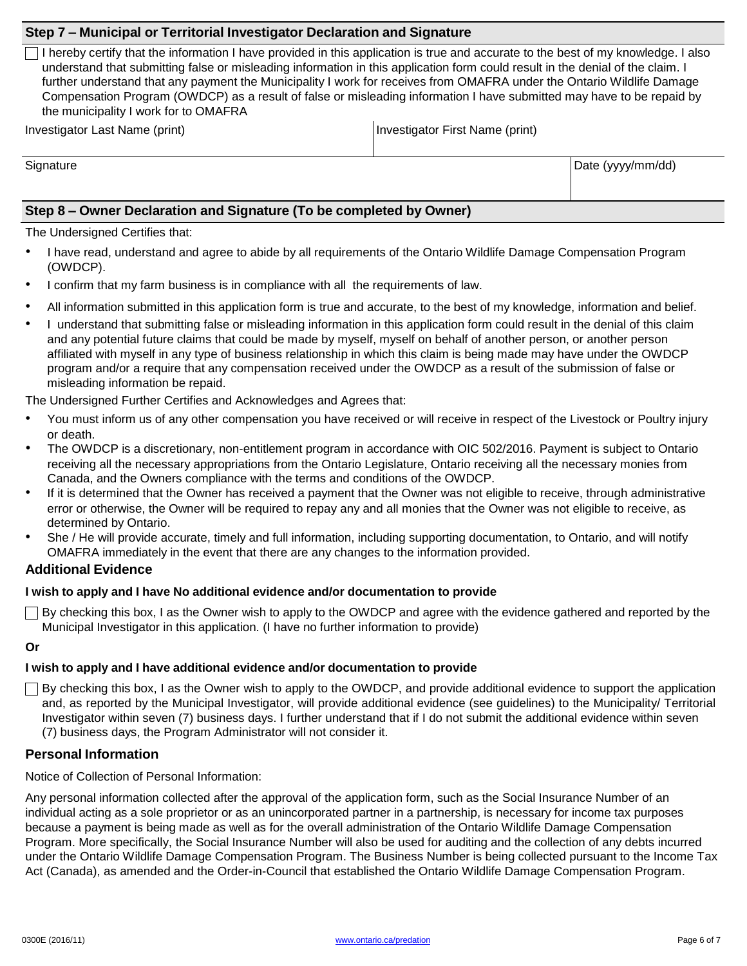### **Step 7 – Municipal or Territorial Investigator Declaration and Signature**

I hereby certify that the information I have provided in this application is true and accurate to the best of my knowledge. I also understand that submitting false or misleading information in this application form could result in the denial of the claim. I further understand that any payment the Municipality I work for receives from OMAFRA under the Ontario Wildlife Damage Compensation Program (OWDCP) as a result of false or misleading information I have submitted may have to be repaid by the municipality I work for to OMAFRA

Investigator Last Name (print) Investigator First Name (print)

Signature **Date (yyyy/mm/dd)** 

# **Step 8 – Owner Declaration and Signature (To be completed by Owner)**

The Undersigned Certifies that:

- I have read, understand and agree to abide by all requirements of the Ontario Wildlife Damage Compensation Program (OWDCP).
- I confirm that my farm business is in compliance with all the requirements of law.
- All information submitted in this application form is true and accurate, to the best of my knowledge, information and belief.
- I understand that submitting false or misleading information in this application form could result in the denial of this claim and any potential future claims that could be made by myself, myself on behalf of another person, or another person affiliated with myself in any type of business relationship in which this claim is being made may have under the OWDCP program and/or a require that any compensation received under the OWDCP as a result of the submission of false or misleading information be repaid.

The Undersigned Further Certifies and Acknowledges and Agrees that:

- You must inform us of any other compensation you have received or will receive in respect of the Livestock or Poultry injury or death.
- The OWDCP is a discretionary, non-entitlement program in accordance with OIC 502/2016. Payment is subject to Ontario receiving all the necessary appropriations from the Ontario Legislature, Ontario receiving all the necessary monies from Canada, and the Owners compliance with the terms and conditions of the OWDCP.
- If it is determined that the Owner has received a payment that the Owner was not eligible to receive, through administrative error or otherwise, the Owner will be required to repay any and all monies that the Owner was not eligible to receive, as determined by Ontario.
- She / He will provide accurate, timely and full information, including supporting documentation, to Ontario, and will notify OMAFRA immediately in the event that there are any changes to the information provided.

# **Additional Evidence**

#### **I wish to apply and I have No additional evidence and/or documentation to provide**

 $\Box$  By checking this box, I as the Owner wish to apply to the OWDCP and agree with the evidence gathered and reported by the Municipal Investigator in this application. (I have no further information to provide)

# **Or**

# **I wish to apply and I have additional evidence and/or documentation to provide**

 $\Box$  By checking this box, I as the Owner wish to apply to the OWDCP, and provide additional evidence to support the application and, as reported by the Municipal Investigator, will provide additional evidence (see guidelines) to the Municipality/ Territorial Investigator within seven (7) business days. I further understand that if I do not submit the additional evidence within seven (7) business days, the Program Administrator will not consider it.

# **Personal Information**

Notice of Collection of Personal Information:

Any personal information collected after the approval of the application form, such as the Social Insurance Number of an individual acting as a sole proprietor or as an unincorporated partner in a partnership, is necessary for income tax purposes because a payment is being made as well as for the overall administration of the Ontario Wildlife Damage Compensation Program. More specifically, the Social Insurance Number will also be used for auditing and the collection of any debts incurred under the Ontario Wildlife Damage Compensation Program. The Business Number is being collected pursuant to the Income Tax Act (Canada), as amended and the Order-in-Council that established the Ontario Wildlife Damage Compensation Program.